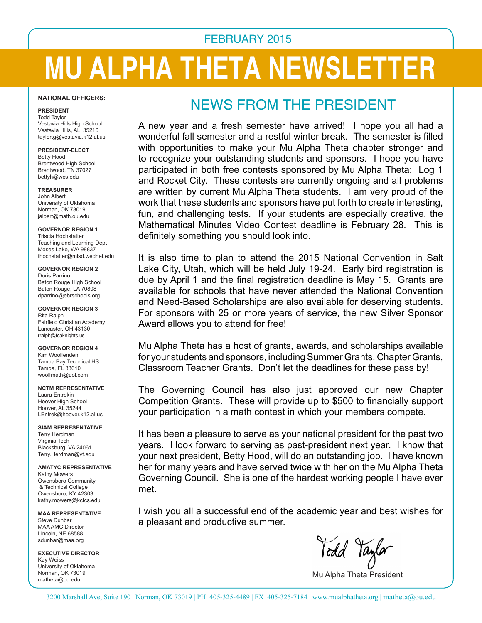## FEBRUARY 2015

# **MU ALPHA THETA NEWSLETTER**

#### **NATIONAL OFFICERS:**

**PRESIDENT** Todd Taylor Vestavia Hills High School Vestavia Hills, AL 35216 taylortg@vestavia.k12.al.us

#### **PRESIDENT-ELECT**

Betty Hood Brentwood High School Brentwood, TN 37027 bettyh@wcs.edu

**TREASURER** John Albert University of Oklahoma Norman, OK 73019 jalbert@math.ou.edu

**GOVERNOR REGION 1** Triscia Hochstatter Teaching and Learning Dept Moses Lake, WA 98837 thochstatter@mlsd.wednet.edu

**GOVERNOR REGION 2** Doris Parrino Baton Rouge High School Baton Rouge, LA 70808 dparrino@ebrschools.org

**GOVERNOR REGION 3** Rita Ralph Fairfield Christian Academy Lancaster, OH 43130 rralph@fcaknights.us

**GOVERNOR REGION 4** Kim Woolfenden Tampa Bay Technical HS Tampa, FL 33610 woolfmath@aol.com

**NCTM REPRESENTATIVE** Laura Entrekin Hoover High School Hoover, AL 35244 LEntrek@hoover.k12.al.us

**SIAM REPRESENTATIVE** Terry Herdman Virginia Tech Blacksburg, VA 24061 Terry.Herdman@vt.edu

**AMATYC REPRESENTATIVE** Kathy Mowers Owensboro Community & Technical College Owensboro, KY 42303 kathy.mowers@kctcs.edu

**MAA REPRESENTATIVE** Steve Dunbar MAA AMC Director Lincoln, NE 68588 sdunbar@maa.org

**EXECUTIVE DIRECTOR** Kay Weiss University of Oklahoma Norman, OK 73019 matheta@ou.edu

## News from the President

A new year and a fresh semester have arrived! I hope you all had a wonderful fall semester and a restful winter break. The semester is filled with opportunities to make your Mu Alpha Theta chapter stronger and to recognize your outstanding students and sponsors. I hope you have participated in both free contests sponsored by Mu Alpha Theta: Log 1 and Rocket City. These contests are currently ongoing and all problems are written by current Mu Alpha Theta students. I am very proud of the work that these students and sponsors have put forth to create interesting, fun, and challenging tests. If your students are especially creative, the Mathematical Minutes Video Contest deadline is February 28. This is definitely something you should look into.

It is also time to plan to attend the 2015 National Convention in Salt Lake City, Utah, which will be held July 19-24. Early bird registration is due by April 1 and the final registration deadline is May 15. Grants are available for schools that have never attended the National Convention and Need-Based Scholarships are also available for deserving students. For sponsors with 25 or more years of service, the new Silver Sponsor Award allows you to attend for free!

Mu Alpha Theta has a host of grants, awards, and scholarships available for your students and sponsors, including Summer Grants, Chapter Grants, Classroom Teacher Grants. Don't let the deadlines for these pass by!

The Governing Council has also just approved our new Chapter Competition Grants. These will provide up to \$500 to financially support your participation in a math contest in which your members compete.

It has been a pleasure to serve as your national president for the past two years. I look forward to serving as past-president next year. I know that your next president, Betty Hood, will do an outstanding job. I have known her for many years and have served twice with her on the Mu Alpha Theta Governing Council. She is one of the hardest working people I have ever met.

I wish you all a successful end of the academic year and best wishes for a pleasant and productive summer.

Mu Alpha Theta President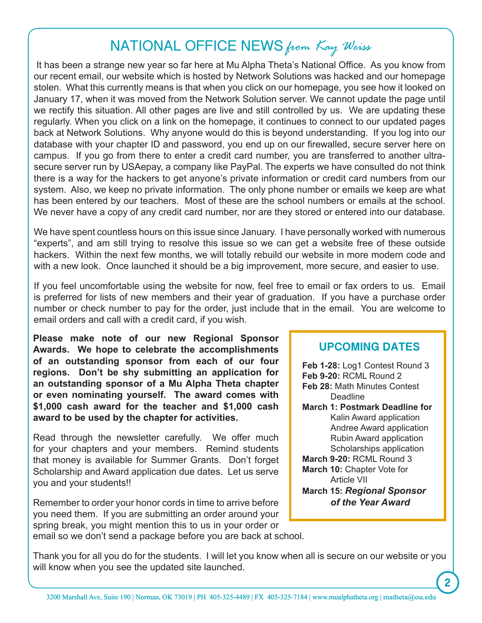# National Office News *from Kay Weiss*

 It has been a strange new year so far here at Mu Alpha Theta's National Office. As you know from our recent email, our website which is hosted by Network Solutions was hacked and our homepage stolen. What this currently means is that when you click on our homepage, you see how it looked on January 17, when it was moved from the Network Solution server. We cannot update the page until we rectify this situation. All other pages are live and still controlled by us. We are updating these regularly. When you click on a link on the homepage, it continues to connect to our updated pages back at Network Solutions. Why anyone would do this is beyond understanding. If you log into our database with your chapter ID and password, you end up on our firewalled, secure server here on campus. If you go from there to enter a credit card number, you are transferred to another ultrasecure server run by USAepay, a company like PayPal. The experts we have consulted do not think there is a way for the hackers to get anyone's private information or credit card numbers from our system. Also, we keep no private information. The only phone number or emails we keep are what has been entered by our teachers. Most of these are the school numbers or emails at the school. We never have a copy of any credit card number, nor are they stored or entered into our database.

We have spent countless hours on this issue since January. I have personally worked with numerous "experts", and am still trying to resolve this issue so we can get a website free of these outside hackers. Within the next few months, we will totally rebuild our website in more modern code and with a new look. Once launched it should be a big improvement, more secure, and easier to use.

If you feel uncomfortable using the website for now, feel free to email or fax orders to us. Email is preferred for lists of new members and their year of graduation. If you have a purchase order number or check number to pay for the order, just include that in the email. You are welcome to email orders and call with a credit card, if you wish.

**Please make note of our new Regional Sponsor Awards. We hope to celebrate the accomplishments of an outstanding sponsor from each of our four regions. Don't be shy submitting an application for an outstanding sponsor of a Mu Alpha Theta chapter or even nominating yourself. The award comes with \$1,000 cash award for the teacher and \$1,000 cash award to be used by the chapter for activities.** 

Read through the newsletter carefully. We offer much for your chapters and your members. Remind students that money is available for Summer Grants. Don't forget Scholarship and Award application due dates. Let us serve you and your students!!

Remember to order your honor cords in time to arrive before you need them. If you are submitting an order around your spring break, you might mention this to us in your order or email so we don't send a package before you are back at school.

## **UPCOMING DATES**

**Feb 1-28:** Log1 Contest Round 3 **Feb 9-20:** RCML Round 2 **Feb 28:** Math Minutes Contest Deadline **March 1: Postmark Deadline for** Kalin Award application Andree Award application Rubin Award application Scholarships application **March 9-20:** RCML Round 3 **March 10:** Chapter Vote for Article VII **March 15:** *Regional Sponsor of the Year Award*

**2**

Thank you for all you do for the students. I will let you know when all is secure on our website or you will know when you see the updated site launched.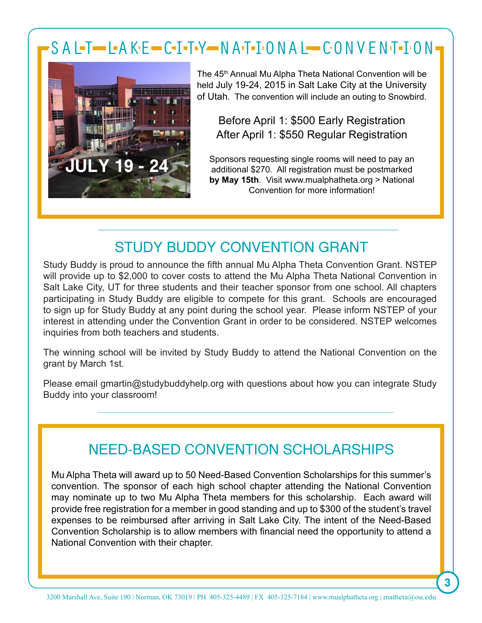# SALT LAKE CITY NATIONAL CONVENTION



The 45<sup>th</sup> Annual Mu Alpha Theta National Convention will be held July 19-24, 2015 in Salt Lake City at the University of Utah. The convention will include an outing to Snowbird.

Before April 1: \$500 Early Registration After April 1: \$550 Regular Registration

Sponsors requesting single rooms will need to pay an additional \$270. All registration must be postmarked **by May 15th**. Visit www.mualphatheta.org > National Convention for more information!

## STUDY BUDDY CONVENTION GRANT

Study Buddy is proud to announce the fifth annual Mu Alpha Theta Convention Grant. NSTEP will provide up to \$2,000 to cover costs to attend the Mu Alpha Theta National Convention in Salt Lake City, UT for three students and their teacher sponsor from one school. All chapters participating in Study Buddy are eligible to compete for this grant. Schools are encouraged to sign up for Study Buddy at any point during the school year. Please inform NSTEP of your interest in attending under the Convention Grant in order to be considered. NSTEP welcomes inquiries from both teachers and students.

The winning school will be invited by Study Buddy to attend the National Convention on the grant by March 1st.

Please email gmartin@studybuddyhelp.org with questions about how you can integrate Study Buddy into your classroom!

## Need-Based CONVENTION ScholarshipS

Mu Alpha Theta will award up to 50 Need-Based Convention Scholarships for this summer's convention. The sponsor of each high school chapter attending the National Convention may nominate up to two Mu Alpha Theta members for this scholarship. Each award will provide free registration for a member in good standing and up to \$300 of the student's travel expenses to be reimbursed after arriving in Salt Lake City. The intent of the Need-Based Convention Scholarship is to allow members with financial need the opportunity to attend a National Convention with their chapter.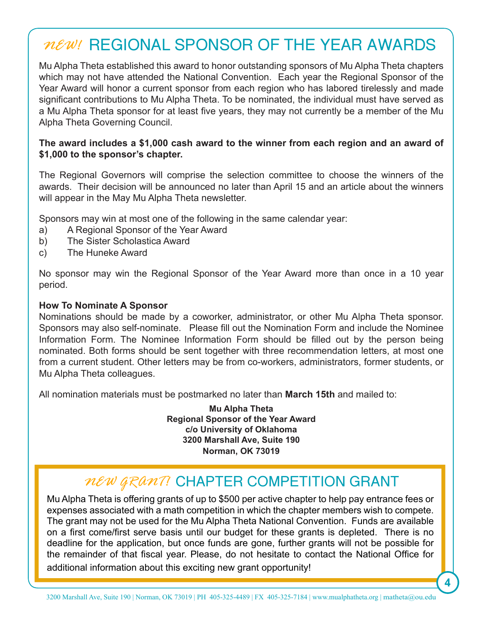# *New!* rEgional Sponsor of the year awards

Mu Alpha Theta established this award to honor outstanding sponsors of Mu Alpha Theta chapters which may not have attended the National Convention. Each year the Regional Sponsor of the Year Award will honor a current sponsor from each region who has labored tirelessly and made significant contributions to Mu Alpha Theta. To be nominated, the individual must have served as a Mu Alpha Theta sponsor for at least five years, they may not currently be a member of the Mu Alpha Theta Governing Council.

#### **The award includes a \$1,000 cash award to the winner from each region and an award of \$1,000 to the sponsor's chapter.**

The Regional Governors will comprise the selection committee to choose the winners of the awards. Their decision will be announced no later than April 15 and an article about the winners will appear in the May Mu Alpha Theta newsletter.

Sponsors may win at most one of the following in the same calendar year:

- a) A Regional Sponsor of the Year Award
- b) The Sister Scholastica Award
- c) The Huneke Award

No sponsor may win the Regional Sponsor of the Year Award more than once in a 10 year period.

#### **How To Nominate A Sponsor**

Nominations should be made by a coworker, administrator, or other Mu Alpha Theta sponsor. Sponsors may also self-nominate. Please fill out the Nomination Form and include the Nominee Information Form. The Nominee Information Form should be filled out by the person being nominated. Both forms should be sent together with three recommendation letters, at most one from a current student. Other letters may be from co-workers, administrators, former students, or Mu Alpha Theta colleagues.

All nomination materials must be postmarked no later than **March 15th** and mailed to:

**Mu Alpha Theta Regional Sponsor of the Year Award c/o University of Oklahoma 3200 Marshall Ave, Suite 190 Norman, OK 73019**

## *New GRANT!* CHAPTER COMPETITION GRANT

Mu Alpha Theta is offering grants of up to \$500 per active chapter to help pay entrance fees or expenses associated with a math competition in which the chapter members wish to compete. The grant may not be used for the Mu Alpha Theta National Convention. Funds are available on a first come/first serve basis until our budget for these grants is depleted. There is no deadline for the application, but once funds are gone, further grants will not be possible for the remainder of that fiscal year. Please, do not hesitate to contact the National Office for additional information about this exciting new grant opportunity!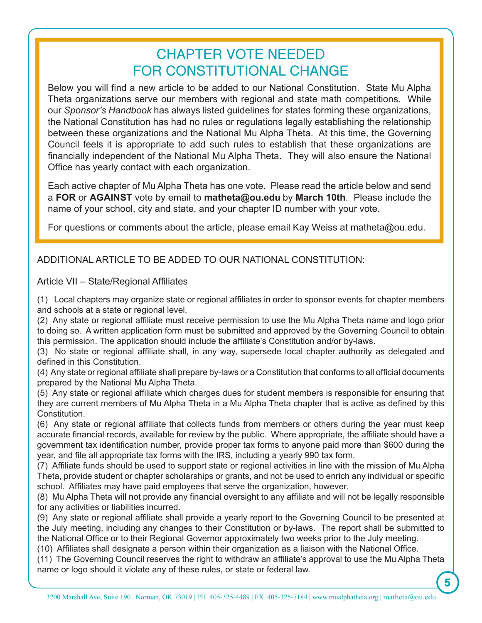## Chapter vote needed for Constitutional change

Below you will find a new article to be added to our National Constitution. State Mu Alpha Theta organizations serve our members with regional and state math competitions. While our *Sponsor's Handbook* has always listed guidelines for states forming these organizations, the National Constitution has had no rules or regulations legally establishing the relationship between these organizations and the National Mu Alpha Theta. At this time, the Governing Council feels it is appropriate to add such rules to establish that these organizations are financially independent of the National Mu Alpha Theta. They will also ensure the National Office has yearly contact with each organization.

Each active chapter of Mu Alpha Theta has one vote. Please read the article below and send a **FOR** or **AGAINST** vote by email to **matheta@ou.edu** by **March 10th**. Please include the name of your school, city and state, and your chapter ID number with your vote.

For questions or comments about the article, please email Kay Weiss at matheta@ou.edu.

#### ADDITIONAL ARTICLE TO BE ADDED TO OUR NATIONAL CONSTITUTION:

Article VII – State/Regional Affiliates

(1) Local chapters may organize state or regional affiliates in order to sponsor events for chapter members and schools at a state or regional level.

(2) Any state or regional affiliate must receive permission to use the Mu Alpha Theta name and logo prior to doing so. A written application form must be submitted and approved by the Governing Council to obtain this permission. The application should include the affiliate's Constitution and/or by-laws.

(3) No state or regional affiliate shall, in any way, supersede local chapter authority as delegated and defined in this Constitution.

(4) Any state or regional affiliate shall prepare by-laws or a Constitution that conforms to all official documents prepared by the National Mu Alpha Theta.

(5) Any state or regional affiliate which charges dues for student members is responsible for ensuring that they are current members of Mu Alpha Theta in a Mu Alpha Theta chapter that is active as defined by this Constitution.

(6) Any state or regional affiliate that collects funds from members or others during the year must keep accurate financial records, available for review by the public. Where appropriate, the affiliate should have a government tax identification number, provide proper tax forms to anyone paid more than \$600 during the year, and file all appropriate tax forms with the IRS, including a yearly 990 tax form.

(7) Affiliate funds should be used to support state or regional activities in line with the mission of Mu Alpha Theta, provide student or chapter scholarships or grants, and not be used to enrich any individual or specific school. Affiliates may have paid employees that serve the organization, however.

(8) Mu Alpha Theta will not provide any financial oversight to any affiliate and will not be legally responsible for any activities or liabilities incurred.

(9) Any state or regional affiliate shall provide a yearly report to the Governing Council to be presented at the July meeting, including any changes to their Constitution or by-laws. The report shall be submitted to the National Office or to their Regional Governor approximately two weeks prior to the July meeting.

(10) Affiliates shall designate a person within their organization as a liaison with the National Office.

(11) The Governing Council reserves the right to withdraw an affiliate's approval to use the Mu Alpha Theta name or logo should it violate any of these rules, or state or federal law.

 **5**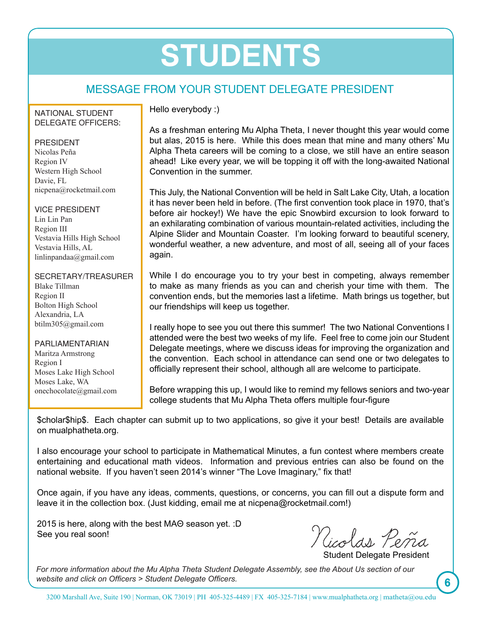# **Students**

## MESSAGE FROM YOUR STUDENT DELEGATE PRESIDENT

#### National Student DELEGATE OFFICERS:

#### **PRESIDENT**

Nicolas Peña Region IV Western High School Davie, FL nicpena@rocketmail.com

Vice President Lin Lin Pan Region III Vestavia Hills High School Vestavia Hills, AL linlinpandaa@gmail.com

#### Secretary/Treasurer

Blake Tillman Region II Bolton High School Alexandria, LA btilm305@gmail.com

#### **PARLIAMENTARIAN**

Maritza Armstrong Region I Moses Lake High School Moses Lake, WA onechocolate@gmail.com Hello everybody :)

As a freshman entering Mu Alpha Theta, I never thought this year would come but alas, 2015 is here. While this does mean that mine and many others' Mu Alpha Theta careers will be coming to a close, we still have an entire season ahead! Like every year, we will be topping it off with the long-awaited National Convention in the summer.

This July, the National Convention will be held in Salt Lake City, Utah, a location it has never been held in before. (The first convention took place in 1970, that's before air hockey!) We have the epic Snowbird excursion to look forward to an exhilarating combination of various mountain-related activities, including the Alpine Slider and Mountain Coaster. I'm looking forward to beautiful scenery, wonderful weather, a new adventure, and most of all, seeing all of your faces again.

While I do encourage you to try your best in competing, always remember to make as many friends as you can and cherish your time with them. The convention ends, but the memories last a lifetime. Math brings us together, but our friendships will keep us together.

I really hope to see you out there this summer! The two National Conventions I attended were the best two weeks of my life. Feel free to come join our Student Delegate meetings, where we discuss ideas for improving the organization and the convention. Each school in attendance can send one or two delegates to officially represent their school, although all are welcome to participate.

Before wrapping this up, I would like to remind my fellows seniors and two-year college students that Mu Alpha Theta offers multiple four-figure

\$cholar\$hip\$. Each chapter can submit up to two applications, so give it your best! Details are available on mualphatheta.org.

I also encourage your school to participate in Mathematical Minutes, a fun contest where members create entertaining and educational math videos. Information and previous entries can also be found on the national website. If you haven't seen 2014's winner "The Love Imaginary," fix that!

Once again, if you have any ideas, comments, questions, or concerns, you can fill out a dispute form and leave it in the collection box. (Just kidding, email me at nicpena@rocketmail.com!)

2015 is here, along with the best MAΘ season yet. :D See you real soon!

Nicolas Peña

Student Delegate President

*For more information about the Mu Alpha Theta Student Delegate Assembly, see the About Us section of our website and click on Officers > Student Delegate Officers.*

**6**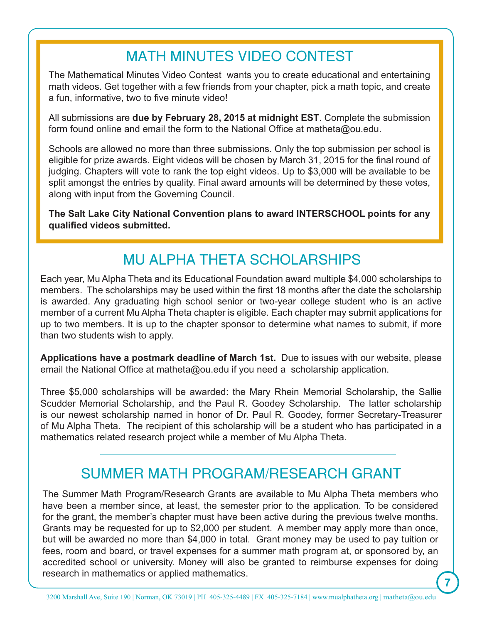## math minutes Video Contest

The Mathematical Minutes Video Contest wants you to create educational and entertaining math videos. Get together with a few friends from your chapter, pick a math topic, and create a fun, informative, two to five minute video!

All submissions are **due by February 28, 2015 at midnight EST**. Complete the submission form found online and email the form to the National Office at matheta@ou.edu.

Schools are allowed no more than three submissions. Only the top submission per school is eligible for prize awards. Eight videos will be chosen by March 31, 2015 for the final round of judging. Chapters will vote to rank the top eight videos. Up to \$3,000 will be available to be split amongst the entries by quality. Final award amounts will be determined by these votes, along with input from the Governing Council.

**The Salt Lake City National Convention plans to award INTERSCHOOL points for any qualified videos submitted.**

## Mu Alpha Theta scholarships

Each year, Mu Alpha Theta and its Educational Foundation award multiple \$4,000 scholarships to members. The scholarships may be used within the first 18 months after the date the scholarship is awarded. Any graduating high school senior or two-year college student who is an active member of a current Mu Alpha Theta chapter is eligible. Each chapter may submit applications for up to two members. It is up to the chapter sponsor to determine what names to submit, if more than two students wish to apply.

**Applications have a postmark deadline of March 1st.** Due to issues with our website, please email the National Office at matheta@ou.edu if you need a scholarship application.

Three \$5,000 scholarships will be awarded: the Mary Rhein Memorial Scholarship, the Sallie Scudder Memorial Scholarship, and the Paul R. Goodey Scholarship. The latter scholarship is our newest scholarship named in honor of Dr. Paul R. Goodey, former Secretary-Treasurer of Mu Alpha Theta. The recipient of this scholarship will be a student who has participated in a mathematics related research project while a member of Mu Alpha Theta.

## summer math program/research grant

The Summer Math Program/Research Grants are available to Mu Alpha Theta members who have been a member since, at least, the semester prior to the application. To be considered for the grant, the member's chapter must have been active during the previous twelve months. Grants may be requested for up to \$2,000 per student. A member may apply more than once, but will be awarded no more than \$4,000 in total. Grant money may be used to pay tuition or fees, room and board, or travel expenses for a summer math program at, or sponsored by, an accredited school or university. Money will also be granted to reimburse expenses for doing research in mathematics or applied mathematics.